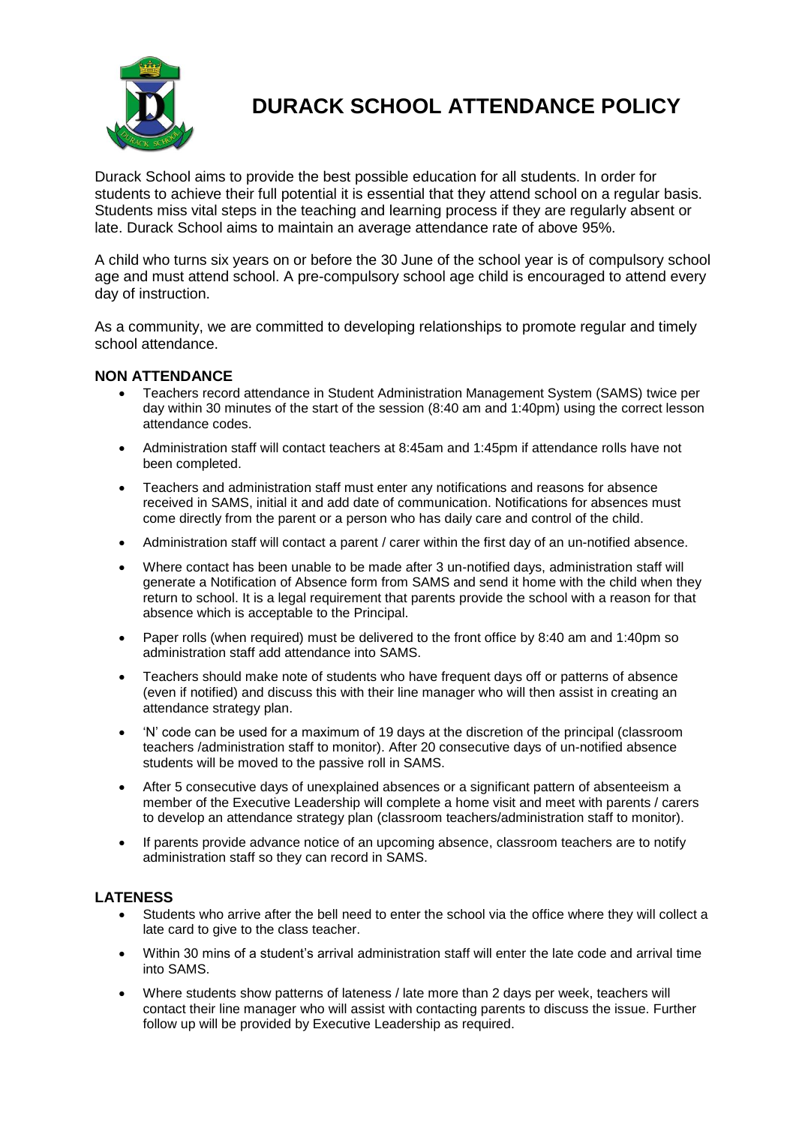

# **DURACK SCHOOL ATTENDANCE POLICY**

Durack School aims to provide the best possible education for all students. In order for students to achieve their full potential it is essential that they attend school on a regular basis. Students miss vital steps in the teaching and learning process if they are regularly absent or late. Durack School aims to maintain an average attendance rate of above 95%.

A child who turns six years on or before the 30 June of the school year is of compulsory school age and must attend school. A pre-compulsory school age child is encouraged to attend every day of instruction.

As a community, we are committed to developing relationships to promote regular and timely school attendance.

## **NON ATTENDANCE**

- Teachers record attendance in Student Administration Management System (SAMS) twice per day within 30 minutes of the start of the session (8:40 am and 1:40pm) using the correct lesson attendance codes.
- Administration staff will contact teachers at 8:45am and 1:45pm if attendance rolls have not been completed.
- Teachers and administration staff must enter any notifications and reasons for absence received in SAMS, initial it and add date of communication. Notifications for absences must come directly from the parent or a person who has daily care and control of the child.
- Administration staff will contact a parent / carer within the first day of an un-notified absence.
- Where contact has been unable to be made after 3 un-notified days, administration staff will generate a Notification of Absence form from SAMS and send it home with the child when they return to school. It is a legal requirement that parents provide the school with a reason for that absence which is acceptable to the Principal.
- Paper rolls (when required) must be delivered to the front office by 8:40 am and 1:40pm so administration staff add attendance into SAMS.
- Teachers should make note of students who have frequent days off or patterns of absence (even if notified) and discuss this with their line manager who will then assist in creating an attendance strategy plan.
- 'N' code can be used for a maximum of 19 days at the discretion of the principal (classroom teachers /administration staff to monitor). After 20 consecutive days of un-notified absence students will be moved to the passive roll in SAMS.
- After 5 consecutive days of unexplained absences or a significant pattern of absenteeism a member of the Executive Leadership will complete a home visit and meet with parents / carers to develop an attendance strategy plan (classroom teachers/administration staff to monitor).
- If parents provide advance notice of an upcoming absence, classroom teachers are to notify administration staff so they can record in SAMS.

#### **LATENESS**

- Students who arrive after the bell need to enter the school via the office where they will collect a late card to give to the class teacher.
- Within 30 mins of a student's arrival administration staff will enter the late code and arrival time into SAMS.
- Where students show patterns of lateness / late more than 2 days per week, teachers will contact their line manager who will assist with contacting parents to discuss the issue. Further follow up will be provided by Executive Leadership as required.